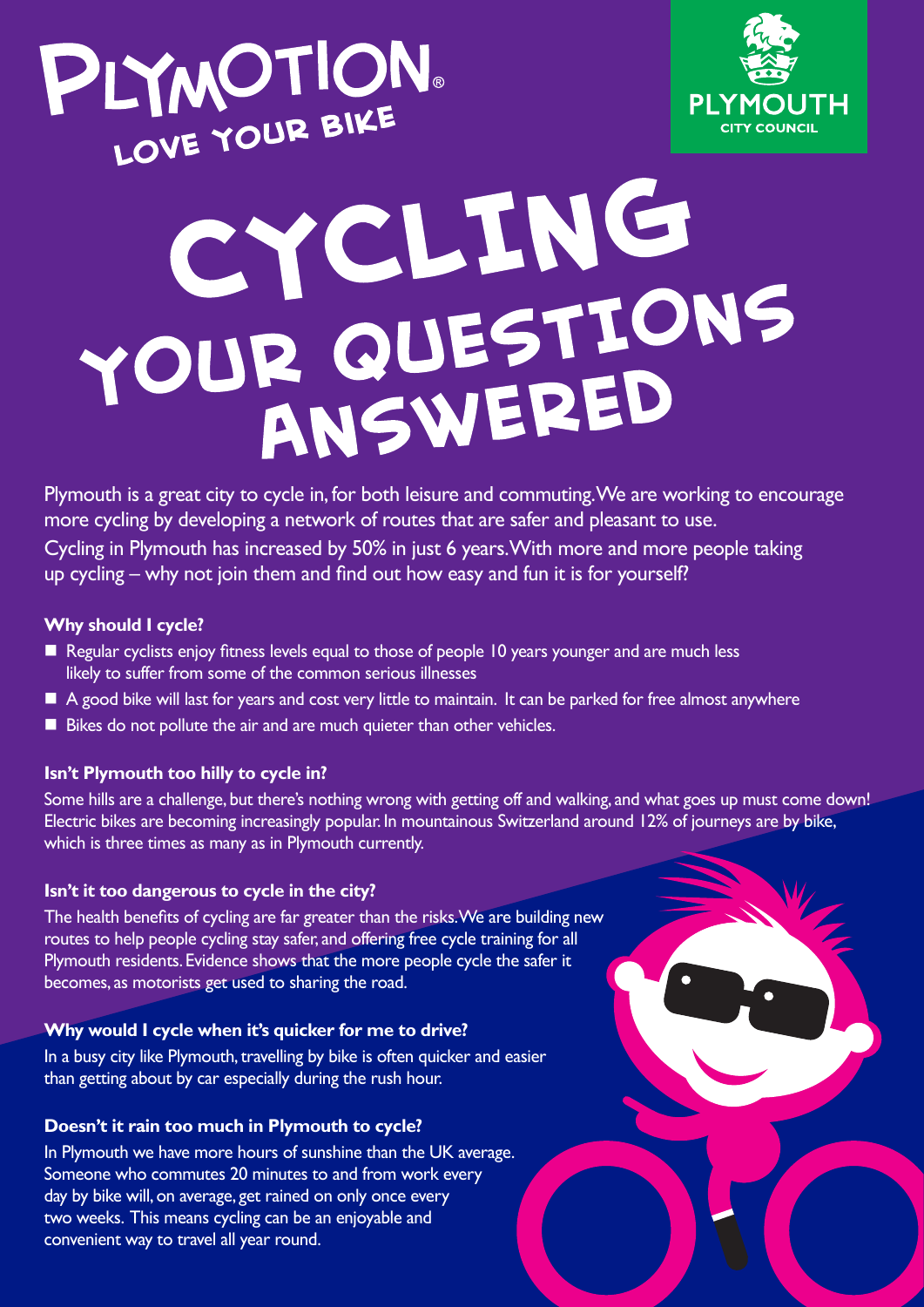



# CYCLING YOUR QUESTIONS ANSWERED

Plymouth is a great city to cycle in, for both leisure and commuting. We are working to encourage more cycling by developing a network of routes that are safer and pleasant to use. Cycling in Plymouth has increased by 50% in just 6 years. With more and more people taking up cycling – why not join them and find out how easy and fun it is for yourself?

#### **Why should I cycle?**

- Regular cyclists enjoy fitness levels equal to those of people 10 years younger and are much less likely to suffer from some of the common serious illnesses
- A good bike will last for years and cost very little to maintain. It can be parked for free almost anywhere
- Bikes do not pollute the air and are much quieter than other vehicles.

# **Isn't Plymouth too hilly to cycle in?**

Some hills are a challenge, but there's nothing wrong with getting off and walking, and what goes up must come down! Electric bikes are becoming increasingly popular. In mountainous Switzerland around 12% of journeys are by bike, which is three times as many as in Plymouth currently.

# **Isn't it too dangerous to cycle in the city?**

The health benefits of cycling are far greater than the risks. We are building new routes to help people cycling stay safer, and offering free cycle training for all Plymouth residents. Evidence shows that the more people cycle the safer it becomes, as motorists get used to sharing the road.

# **Why would I cycle when it's quicker for me to drive?**

In a busy city like Plymouth, travelling by bike is often quicker and easier than getting about by car especially during the rush hour.

# **Doesn't it rain too much in Plymouth to cycle?**

In Plymouth we have more hours of sunshine than the UK average. Someone who commutes 20 minutes to and from work every day by bike will, on average, get rained on only once every two weeks. This means cycling can be an enjoyable and convenient way to travel all year round.